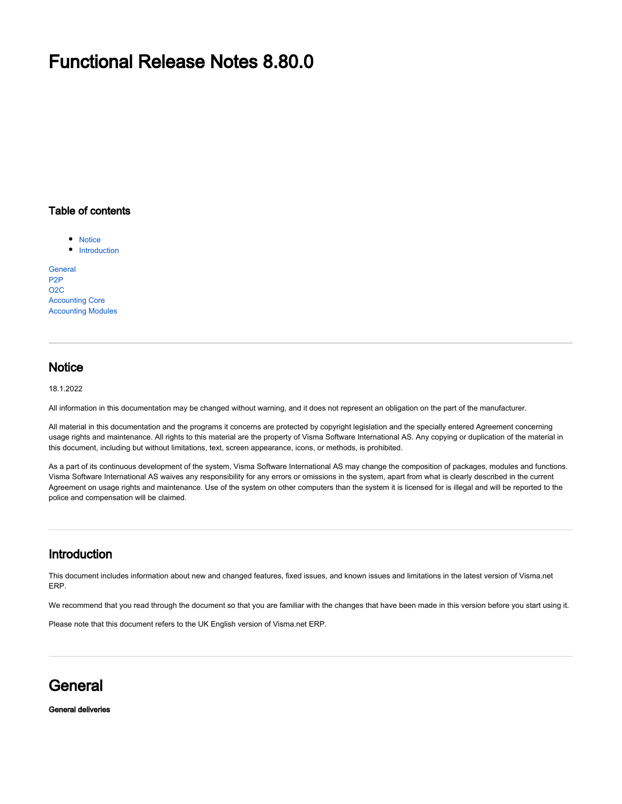## Functional Release Notes 8.80.0

#### Table of contents

• [Notice](#page-0-0)

• [Introduction](#page-0-1)

**[General](#page-0-2)** [P2P](#page-1-0) [O2C](#page-2-0) [Accounting Core](#page-2-1) [Accounting Modules](#page-3-0)

### <span id="page-0-0"></span>**Notice**

18.1.2022

All information in this documentation may be changed without warning, and it does not represent an obligation on the part of the manufacturer.

All material in this documentation and the programs it concerns are protected by copyright legislation and the specially entered Agreement concerning usage rights and maintenance. All rights to this material are the property of Visma Software International AS. Any copying or duplication of the material in this document, including but without limitations, text, screen appearance, icons, or methods, is prohibited.

As a part of its continuous development of the system, Visma Software International AS may change the composition of packages, modules and functions. Visma Software International AS waives any responsibility for any errors or omissions in the system, apart from what is clearly described in the current Agreement on usage rights and maintenance. Use of the system on other computers than the system it is licensed for is illegal and will be reported to the police and compensation will be claimed.

### <span id="page-0-1"></span>Introduction

This document includes information about new and changed features, fixed issues, and known issues and limitations in the latest version of Visma.net ERP.

We recommend that you read through the document so that you are familiar with the changes that have been made in this version before you start using it.

Please note that this document refers to the UK English version of Visma.net ERP.

### <span id="page-0-2"></span>**General**

#### General deliveries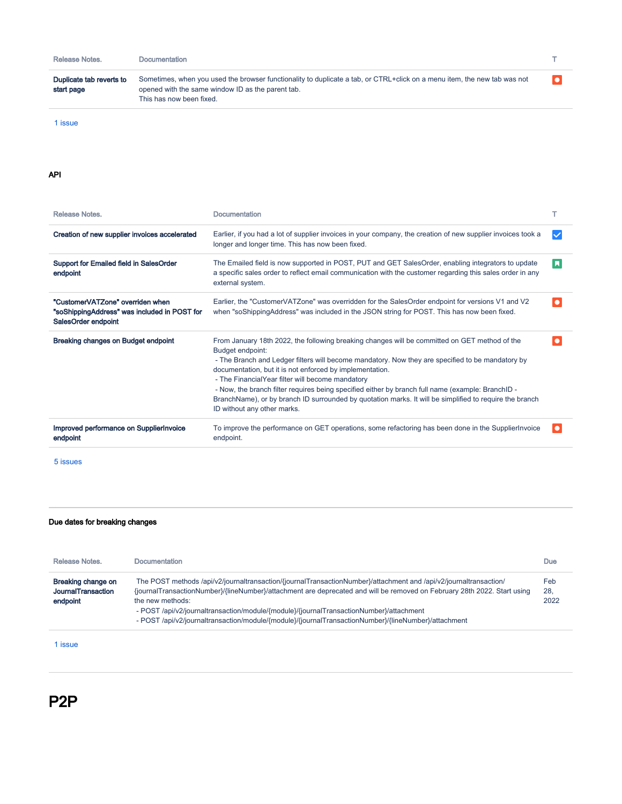| Release Notes.                         | Documentation                                                                                                                                                                                             |  |
|----------------------------------------|-----------------------------------------------------------------------------------------------------------------------------------------------------------------------------------------------------------|--|
| Duplicate tab reverts to<br>start page | Sometimes, when you used the browser functionality to duplicate a tab, or CTRL+click on a menu item, the new tab was not<br>opened with the same window ID as the parent tab.<br>This has now been fixed. |  |

[1 issue](https://jira.visma.com/secure/IssueNavigator.jspa?reset=true&jqlQuery=project+in+%28%22Sigma+ERP%22%29+AND+fixVersion++%7E+%228.80.0%22+AND+%28component+in+componentMatch%28Evolve%29+OR+component+in+componentMatch%28DaaS%29+OR+component+in+componentMatch%28SecDevOps%29%29+AND+status+in+%28%22Merge+to+Release%22%2C+%22Testing+Release%22%2C+Closed%29+AND+%22Release+note+status%22+in+%28%22OK%2C+done%22%2C+%22Yes%2C+release+notes%22%29+AND+%22Release+notes.%22+is+not+EMPTY+AND+%22Affect+API%22+is+EMPTY+ORDER+BY+issuetype+DESC%2C+key+ASC+++++++++++++++++++++++++++++++++++++++++++++++++++++++++++++++++&src=confmacro)

#### API

| Release Notes.                                                                                          | Documentation                                                                                                                                                                                                                                                                                                                                                                                                                                                                                                                                                                        |           |
|---------------------------------------------------------------------------------------------------------|--------------------------------------------------------------------------------------------------------------------------------------------------------------------------------------------------------------------------------------------------------------------------------------------------------------------------------------------------------------------------------------------------------------------------------------------------------------------------------------------------------------------------------------------------------------------------------------|-----------|
| Creation of new supplier invoices accelerated                                                           | Earlier, if you had a lot of supplier invoices in your company, the creation of new supplier invoices took a<br>longer and longer time. This has now been fixed.                                                                                                                                                                                                                                                                                                                                                                                                                     |           |
| <b>Support for Emailed field in SalesOrder</b><br>endpoint                                              | The Emailed field is now supported in POST, PUT and GET SalesOrder, enabling integrators to update<br>a specific sales order to reflect email communication with the customer regarding this sales order in any<br>external system.                                                                                                                                                                                                                                                                                                                                                  | <b>A</b>  |
| "CustomerVATZone" overriden when<br>"soShippingAddress" was included in POST for<br>SalesOrder endpoint | Earlier, the "CustomerVATZone" was overridden for the SalesOrder endpoint for versions V1 and V2<br>when "soShippingAddress" was included in the JSON string for POST. This has now been fixed.                                                                                                                                                                                                                                                                                                                                                                                      |           |
| <b>Breaking changes on Budget endpoint</b>                                                              | From January 18th 2022, the following breaking changes will be committed on GET method of the<br>Budget endpoint:<br>- The Branch and Ledger filters will become mandatory. Now they are specified to be mandatory by<br>documentation, but it is not enforced by implementation.<br>- The FinancialYear filter will become mandatory<br>- Now, the branch filter requires being specified either by branch full name (example: BranchID -<br>BranchName), or by branch ID surrounded by quotation marks. It will be simplified to require the branch<br>ID without any other marks. |           |
| Improved performance on SupplierInvoice<br>endpoint                                                     | To improve the performance on GET operations, some refactoring has been done in the Supplier Invoice<br>endpoint.                                                                                                                                                                                                                                                                                                                                                                                                                                                                    | $\bullet$ |

[5 issues](https://jira.visma.com/secure/IssueNavigator.jspa?reset=true&jqlQuery=Project+%3D+%22Sigma+ERP%22+AND+%22Affect+API%22+%3D+Yes+AND+fixVersion+%7E+%228.80.0%22+AND+status+in+%28%22Merge+to+Release%22%2C+%22Testing+Release%22%2C+Closed%29+AND+%22Release+note+status%22+in+%28%22OK%2C+done%22%2C+%22Yes%2C+release+notes%22%29+AND+%22Release+notes.%22+is+not+EMPTY+ORDER+BY+issuetype+DESC++++++++++++++++++++++++++++++++++++++++++++++++++++++++++++&src=confmacro)

#### Due dates for breaking changes

|                                                                                                                                                                                                                                                                                                                                                                                                  | Release Notes.     | <b>Documentation</b>                                                                                              | <b>Due</b> |
|--------------------------------------------------------------------------------------------------------------------------------------------------------------------------------------------------------------------------------------------------------------------------------------------------------------------------------------------------------------------------------------------------|--------------------|-------------------------------------------------------------------------------------------------------------------|------------|
| {journalTransactionNumber}/{lineNumber}/attachment are deprecated and will be removed on February 28th 2022. Start using<br>28.<br>JournalTransaction<br>endpoint<br>2022<br>the new methods:<br>- POST /api/v2/journaltransaction/module/{module}/{journalTransactionNumber}/attachment<br>- POST /api/v2/journaltransaction/module/{module}/{journalTransactionNumber}/{lineNumber}/attachment | Breaking change on | The POST methods /api/v2/journaltransaction/{journalTransactionNumber}/attachment and /api/v2/journaltransaction/ | Feb        |

[1 issue](https://jira.visma.com/secure/IssueNavigator.jspa?reset=true&jqlQuery=project+%3D+%22Sigma+ERP%22+AND+%22Affect+API%22+%3D+Yes+and+duedate+is+not+EMPTY+and+status+%21%3D+Closed+++++++++++&src=confmacro)

### <span id="page-1-0"></span>P2P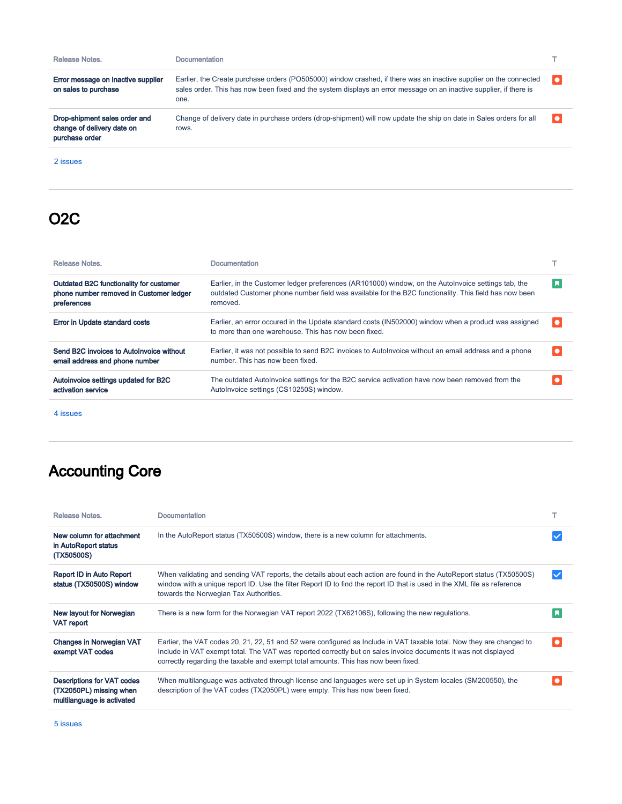| Release Notes.                                                                | Documentation                                                                                                                                                                                                                                   |  |
|-------------------------------------------------------------------------------|-------------------------------------------------------------------------------------------------------------------------------------------------------------------------------------------------------------------------------------------------|--|
| Error message on inactive supplier<br>on sales to purchase                    | Earlier, the Create purchase orders (PO505000) window crashed, if there was an inactive supplier on the connected<br>sales order. This has now been fixed and the system displays an error message on an inactive supplier, if there is<br>one. |  |
| Drop-shipment sales order and<br>change of delivery date on<br>purchase order | Change of delivery date in purchase orders (drop-shipment) will now update the ship on date in Sales orders for all<br>rows.                                                                                                                    |  |

[2 issues](https://jira.visma.com/secure/IssueNavigator.jspa?reset=true&jqlQuery=project+in+%28%22Sigma+ERP%22%29+AND+fixVersion+%7E+%228.80.0%22+AND+component+in+componentMatch%28%27P2P%27%29+AND+status+in+%28%22Merge+to+Release%22%2C+%22Testing+Release%22%2C+Closed%29+AND+%22Release+note+status%22+in+%28%22OK%2C+done%22%2C+%22Yes%2C+release+notes%22%29+AND+%22Release+notes.%22+is+not+EMPTY+AND+%22Affect+API%22+is+EMPTY+ORDER+BY+issuetype+DESC%2C+key+DESC+++++++++++++++++++++++++++++++++++++++++++++++++++++++++++++++++++&src=confmacro)

## <span id="page-2-0"></span>O2C

| Release Notes.                                                                                    | Documentation                                                                                                                                                                                                            |           |
|---------------------------------------------------------------------------------------------------|--------------------------------------------------------------------------------------------------------------------------------------------------------------------------------------------------------------------------|-----------|
| Outdated B2C functionality for customer<br>phone number removed in Customer ledger<br>preferences | Earlier, in the Customer ledger preferences (AR101000) window, on the Autolnvoice settings tab, the<br>outdated Customer phone number field was available for the B2C functionality. This field has now been<br>removed. |           |
| Error in Update standard costs                                                                    | Earlier, an error occured in the Update standard costs (IN502000) window when a product was assigned<br>to more than one warehouse. This has now been fixed.                                                             | $\bullet$ |
| Send B2C invoices to AutoInvoice without<br>email address and phone number                        | Earlier, it was not possible to send B2C invoices to Autolnyoice without an email address and a phone<br>number. This has now been fixed.                                                                                | $\bullet$ |
| Autoinvoice settings updated for B2C<br>activation service                                        | The outdated AutoInvoice settings for the B2C service activation have now been removed from the<br>AutoInvoice settings (CS10250S) window.                                                                               |           |

[4 issues](https://jira.visma.com/secure/IssueNavigator.jspa?reset=true&jqlQuery=project+in+%28%22Sigma+ERP%22%29+AND+fixVersion+%7E+%228.80.0%22+AND+component+in+componentMatch%28O2C%29+AND+status+in+%28%22Merge+to+Release%22%2C+%22Testing+Release%22%2C+Closed%29+AND+%22Release+note+status%22+in+%28%22OK%2C+done%22%2C+%22Yes%2C+release+notes%22%29+AND+%22Affect+API%22+is+EMPTY+AND+%22Release+notes.%22+is+not+EMPTY+ORDER+BY+issuetype+DESC%2C+key+DESC+++++++++++++++++++++++++++++++++++++++++++++++++++++++++++&src=confmacro)

## <span id="page-2-1"></span>Accounting Core

| Release Notes.                                                                      | <b>Documentation</b>                                                                                                                                                                                                                                                                                                           |           |
|-------------------------------------------------------------------------------------|--------------------------------------------------------------------------------------------------------------------------------------------------------------------------------------------------------------------------------------------------------------------------------------------------------------------------------|-----------|
| New column for attachment<br>in AutoReport status<br>(TX50500S)                     | In the AutoReport status (TX50500S) window, there is a new column for attachments.                                                                                                                                                                                                                                             |           |
| Report ID in Auto Report<br>status (TX50500S) window                                | When validating and sending VAT reports, the details about each action are found in the AutoReport status (TX50500S)<br>window with a unique report ID. Use the filter Report ID to find the report ID that is used in the XML file as reference<br>towards the Norwegian Tax Authorities.                                     |           |
| New layout for Norwegian<br><b>VAT report</b>                                       | There is a new form for the Norwegian VAT report 2022 (TX62106S), following the new regulations.                                                                                                                                                                                                                               |           |
| <b>Changes in Norwegian VAT</b><br>exempt VAT codes                                 | Earlier, the VAT codes 20, 21, 22, 51 and 52 were configured as Include in VAT taxable total. Now they are changed to<br>Include in VAT exempt total. The VAT was reported correctly but on sales invoice documents it was not displayed<br>correctly regarding the taxable and exempt total amounts. This has now been fixed. | $\bullet$ |
| Descriptions for VAT codes<br>(TX2050PL) missing when<br>multilanguage is activated | When multilanguage was activated through license and languages were set up in System locales (SM200550), the<br>description of the VAT codes (TX2050PL) were empty. This has now been fixed.                                                                                                                                   |           |